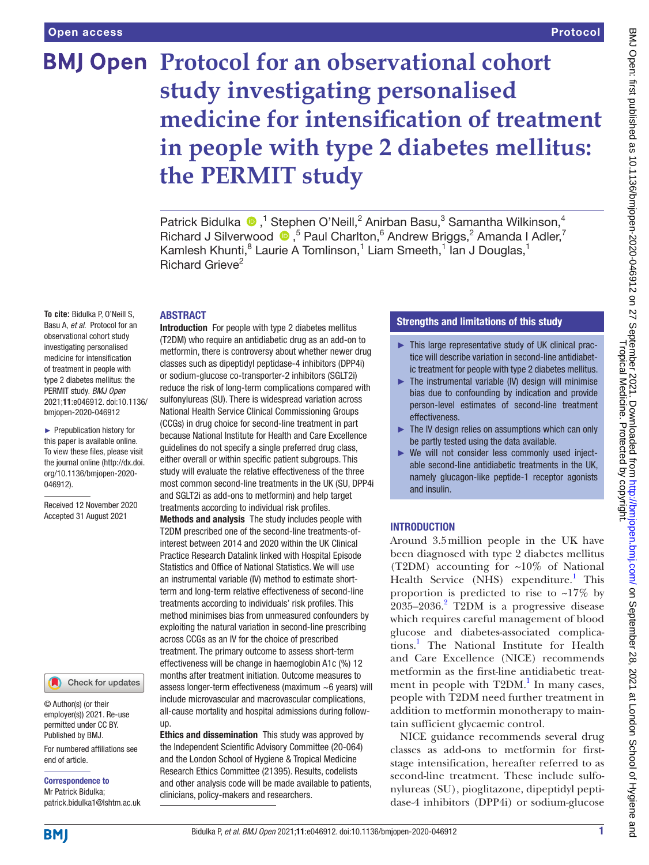# **BMJ Open Protocol for an observational cohort study investigating personalised medicine for intensification of treatment in people with type 2 diabetes mellitus: the PERMIT study**

Patrick Bidulka  $\bullet$ ,<sup>1</sup> Stephen O'Neill,<sup>2</sup> Anirban Basu,<sup>3</sup> Samantha Wilkinson,<sup>4</sup> RichardJ Silverwood  $\bullet$ , <sup>5</sup> Paul Charlton, <sup>6</sup> Andrew Briggs, <sup>2</sup> Amanda I Adler, <sup>7</sup> Kamlesh Khunti,<sup>8</sup> Laurie A Tomlinson,<sup>1</sup> Liam Smeeth,<sup>1</sup> lan J Douglas,<sup>1</sup> Richard Grieve<sup>2</sup>

# ABSTRACT

**To cite:** Bidulka P, O'Neill S, Basu A, *et al*. Protocol for an observational cohort study investigating personalised medicine for intensification of treatment in people with type 2 diabetes mellitus: the PERMIT study. *BMJ Open* 2021;11:e046912. doi:10.1136/ bmjopen-2020-046912

► Prepublication history for this paper is available online. To view these files, please visit the journal online [\(http://dx.doi.](http://dx.doi.org/10.1136/bmjopen-2020-046912) [org/10.1136/bmjopen-2020-](http://dx.doi.org/10.1136/bmjopen-2020-046912) [046912\)](http://dx.doi.org/10.1136/bmjopen-2020-046912).

Received 12 November 2020 Accepted 31 August 2021

#### Check for updates

© Author(s) (or their employer(s)) 2021. Re-use permitted under CC BY. Published by BMJ.

For numbered affiliations see end of article.

Correspondence to Mr Patrick Bidulka; patrick.bidulka1@lshtm.ac.uk

Introduction For people with type 2 diabetes mellitus (T2DM) who require an antidiabetic drug as an add-on to metformin, there is controversy about whether newer drug classes such as dipeptidyl peptidase-4 inhibitors (DPP4i) or sodium-glucose co-transporter-2 inhibitors (SGLT2i) reduce the risk of long-term complications compared with sulfonylureas (SU). There is widespread variation across National Health Service Clinical Commissioning Groups (CCGs) in drug choice for second-line treatment in part because National Institute for Health and Care Excellence guidelines do not specify a single preferred drug class, either overall or within specific patient subgroups. This study will evaluate the relative effectiveness of the three most common second-line treatments in the UK (SU, DPP4i and SGLT2i as add-ons to metformin) and help target treatments according to individual risk profiles.

Methods and analysis The study includes people with T2DM prescribed one of the second-line treatments-ofinterest between 2014 and 2020 within the UK Clinical Practice Research Datalink linked with Hospital Episode Statistics and Office of National Statistics. We will use an instrumental variable (IV) method to estimate shortterm and long-term relative effectiveness of second-line treatments according to individuals' risk profiles. This method minimises bias from unmeasured confounders by exploiting the natural variation in second-line prescribing across CCGs as an IV for the choice of prescribed treatment. The primary outcome to assess short-term effectiveness will be change in haemoglobin A1c (%) 12 months after treatment initiation. Outcome measures to assess longer-term effectiveness (maximum ~6 years) will include microvascular and macrovascular complications, all-cause mortality and hospital admissions during followup.

Ethics and dissemination This study was approved by the Independent Scientific Advisory Committee (20-064) and the London School of Hygiene & Tropical Medicine Research Ethics Committee (21395). Results, codelists and other analysis code will be made available to patients, clinicians, policy-makers and researchers.

# Strengths and limitations of this study

- ► This large representative study of UK clinical practice will describe variation in second-line antidiabetic treatment for people with type 2 diabetes mellitus.
- ► The instrumental variable (IV) design will minimise bias due to confounding by indication and provide person-level estimates of second-line treatment effectiveness.
- ► The IV design relies on assumptions which can only be partly tested using the data available.
- ► We will not consider less commonly used injectable second-line antidiabetic treatments in the UK, namely glucagon-like peptide-1 receptor agonists and insulin.

### INTRODUCTION

Around 3.5million people in the UK have been diagnosed with type 2 diabetes mellitus (T2DM) accounting for ~10% of National Health Service (NHS) expenditure.<sup>[1](#page-7-0)</sup> This proportion is predicted to rise to  $\sim$ 17% by  $2035 - 2036$  $2035 - 2036$ .<sup>2</sup> T2DM is a progressive disease which requires careful management of blood glucose and diabetes-associated complications.[1](#page-7-0) The National Institute for Health and Care Excellence (NICE) recommends metformin as the first-line antidiabetic treatment in people with  $T2DM.$ <sup>1</sup> In many cases, people with T2DM need further treatment in addition to metformin monotherapy to maintain sufficient glycaemic control.

NICE guidance recommends several drug classes as add-ons to metformin for firststage intensification, hereafter referred to as second-line treatment. These include sulfonylureas (SU), pioglitazone, dipeptidyl peptidase-4 inhibitors (DPP4i) or sodium-glucose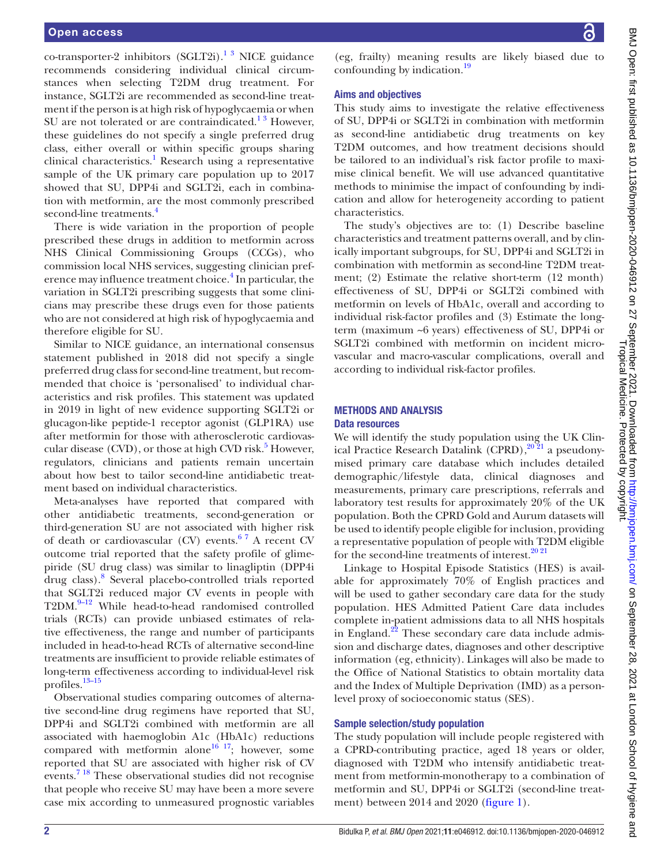co-transporter-2 inhibitors (SGLT2i).<sup>1 3</sup> NICE guidance recommends considering individual clinical circumstances when selecting T2DM drug treatment. For instance, SGLT2i are recommended as second-line treatment if the person is at high risk of hypoglycaemia or when SU are not tolerated or are contraindicated. $1^3$  However, these guidelines do not specify a single preferred drug class, either overall or within specific groups sharing clinical characteristics.<sup>[1](#page-7-0)</sup> Research using a representative sample of the UK primary care population up to 2017 showed that SU, DPP4i and SGLT2i, each in combination with metformin, are the most commonly prescribed second-line treatments.<sup>[4](#page-8-1)</sup>

There is wide variation in the proportion of people prescribed these drugs in addition to metformin across NHS Clinical Commissioning Groups (CCGs), who commission local NHS services, suggesting clinician pref-erence may influence treatment choice.<sup>[4](#page-8-1)</sup> In particular, the variation in SGLT2i prescribing suggests that some clinicians may prescribe these drugs even for those patients who are not considered at high risk of hypoglycaemia and therefore eligible for SU.

Similar to NICE guidance, an international consensus statement published in 2018 did not specify a single preferred drug class for second-line treatment, but recommended that choice is 'personalised' to individual characteristics and risk profiles. This statement was updated in 2019 in light of new evidence supporting SGLT2i or glucagon-like peptide-1 receptor agonist (GLP1RA) use after metformin for those with atherosclerotic cardiovas-cular disease (CVD), or those at high CVD risk.<sup>[5](#page-8-2)</sup> However, regulators, clinicians and patients remain uncertain about how best to tailor second-line antidiabetic treatment based on individual characteristics.

Meta-analyses have reported that compared with other antidiabetic treatments, second-generation or third-generation SU are not associated with higher risk of death or cardiovascular (CV) events.<sup>67</sup> A recent CV outcome trial reported that the safety profile of glimepiride (SU drug class) was similar to linagliptin (DPP4i drug class).[8](#page-8-4) Several placebo-controlled trials reported that SGLT2i reduced major CV events in people with T2DM.<sup>9–12</sup> While head-to-head randomised controlled trials (RCTs) can provide unbiased estimates of relative effectiveness, the range and number of participants included in head-to-head RCTs of alternative second-line treatments are insufficient to provide reliable estimates of long-term effectiveness according to individual-level risk profiles.[13–15](#page-8-6)

Observational studies comparing outcomes of alternative second-line drug regimens have reported that SU, DPP4i and SGLT2i combined with metformin are all associated with haemoglobin A1c (HbA1c) reductions compared with metformin alone<sup>16 17</sup>; however, some reported that SU are associated with higher risk of CV events.<sup>7 18</sup> These observational studies did not recognise that people who receive SU may have been a more severe case mix according to unmeasured prognostic variables

(eg, frailty) meaning results are likely biased due to confounding by indication.<sup>19</sup>

#### Aims and objectives

This study aims to investigate the relative effectiveness of SU, DPP4i or SGLT2i in combination with metformin as second-line antidiabetic drug treatments on key T2DM outcomes, and how treatment decisions should be tailored to an individual's risk factor profile to maximise clinical benefit. We will use advanced quantitative methods to minimise the impact of confounding by indication and allow for heterogeneity according to patient characteristics.

The study's objectives are to: (1) Describe baseline characteristics and treatment patterns overall, and by clinically important subgroups, for SU, DPP4i and SGLT2i in combination with metformin as second-line T2DM treatment; (2) Estimate the relative short-term (12 month) effectiveness of SU, DPP4i or SGLT2i combined with metformin on levels of HbA1c, overall and according to individual risk-factor profiles and (3) Estimate the longterm (maximum ~6 years) effectiveness of SU, DPP4i or SGLT2i combined with metformin on incident microvascular and macro-vascular complications, overall and according to individual risk-factor profiles.

# METHODS AND ANALYSIS

### Data resources

We will identify the study population using the UK Clinical Practice Research Datalink (CPRD), $20\frac{2}{1}$  a pseudonymised primary care database which includes detailed demographic/lifestyle data, clinical diagnoses and measurements, primary care prescriptions, referrals and laboratory test results for approximately 20% of the UK population. Both the CPRD Gold and Aurum datasets will be used to identify people eligible for inclusion, providing a representative population of people with T2DM eligible for the second-line treatments of interest. $20\,21$ 

Linkage to Hospital Episode Statistics (HES) is available for approximately 70% of English practices and will be used to gather secondary care data for the study population. HES Admitted Patient Care data includes complete in-patient admissions data to all NHS hospitals in England.<sup>22</sup> These secondary care data include admission and discharge dates, diagnoses and other descriptive information (eg, ethnicity). Linkages will also be made to the Office of National Statistics to obtain mortality data and the Index of Multiple Deprivation (IMD) as a personlevel proxy of socioeconomic status (SES).

#### Sample selection/study population

The study population will include people registered with a CPRD-contributing practice, aged 18 years or older, diagnosed with T2DM who intensify antidiabetic treatment from metformin-monotherapy to a combination of metformin and SU, DPP4i or SGLT2i (second-line treatment) between 2014 and 2020 ([figure](#page-2-0) 1).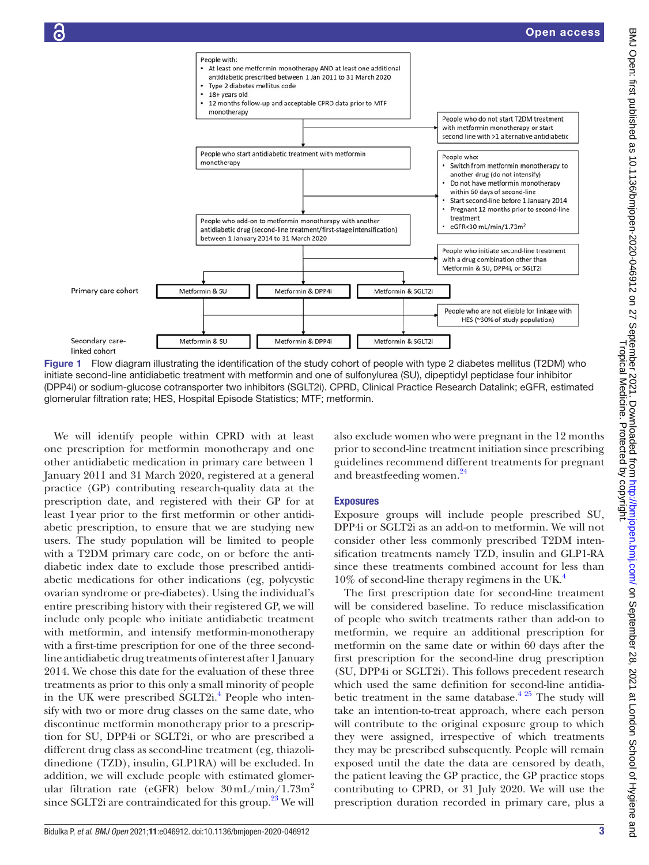

<span id="page-2-0"></span>Figure 1 Flow diagram illustrating the identification of the study cohort of people with type 2 diabetes mellitus (T2DM) who initiate second-line antidiabetic treatment with metformin and one of sulfonylurea (SU), dipeptidyl peptidase four inhibitor (DPP4i) or sodium-glucose cotransporter two inhibitors (SGLT2i). CPRD, Clinical Practice Research Datalink; eGFR, estimated glomerular filtration rate; HES, Hospital Episode Statistics; MTF; metformin.

We will identify people within CPRD with at least one prescription for metformin monotherapy and one other antidiabetic medication in primary care between 1 January 2011 and 31 March 2020, registered at a general practice (GP) contributing research-quality data at the prescription date, and registered with their GP for at least 1year prior to the first metformin or other antidiabetic prescription, to ensure that we are studying new users. The study population will be limited to people with a T2DM primary care code, on or before the antidiabetic index date to exclude those prescribed antidiabetic medications for other indications (eg, polycystic ovarian syndrome or pre-diabetes). Using the individual's entire prescribing history with their registered GP, we will include only people who initiate antidiabetic treatment with metformin, and intensify metformin-monotherapy with a first-time prescription for one of the three secondline antidiabetic drug treatments of interest after 1 January 2014. We chose this date for the evaluation of these three treatments as prior to this only a small minority of people in the UK were prescribed SGLT2i.<sup>[4](#page-8-1)</sup> People who intensify with two or more drug classes on the same date, who discontinue metformin monotherapy prior to a prescription for SU, DPP4i or SGLT2i, or who are prescribed a different drug class as second-line treatment (eg, thiazolidinedione (TZD), insulin, GLP1RA) will be excluded. In addition, we will exclude people with estimated glomerular filtration rate (eGFR) below  $30 \text{ mL/min} / 1.73 \text{m}^2$ since SGLT2i are contraindicated for this group. $^{23}$  We will

also exclude women who were pregnant in the 12 months prior to second-line treatment initiation since prescribing guidelines recommend different treatments for pregnant and breastfeeding women.<sup>[24](#page-8-13)</sup>

### **Exposures**

Exposure groups will include people prescribed SU, DPP4i or SGLT2i as an add-on to metformin. We will not consider other less commonly prescribed T2DM intensification treatments namely TZD, insulin and GLP1-RA since these treatments combined account for less than  $10\%$  of second-line therapy regimens in the UK.<sup>4</sup>

The first prescription date for second-line treatment will be considered baseline. To reduce misclassification of people who switch treatments rather than add-on to metformin, we require an additional prescription for metformin on the same date or within 60 days after the first prescription for the second-line drug prescription (SU, DPP4i or SGLT2i). This follows precedent research which used the same definition for second-line antidiabetic treatment in the same database.<sup> $4\frac{25}{1}$ </sup> The study will take an intention-to-treat approach, where each person will contribute to the original exposure group to which they were assigned, irrespective of which treatments they may be prescribed subsequently. People will remain exposed until the date the data are censored by death, the patient leaving the GP practice, the GP practice stops contributing to CPRD, or 31 July 2020. We will use the prescription duration recorded in primary care, plus a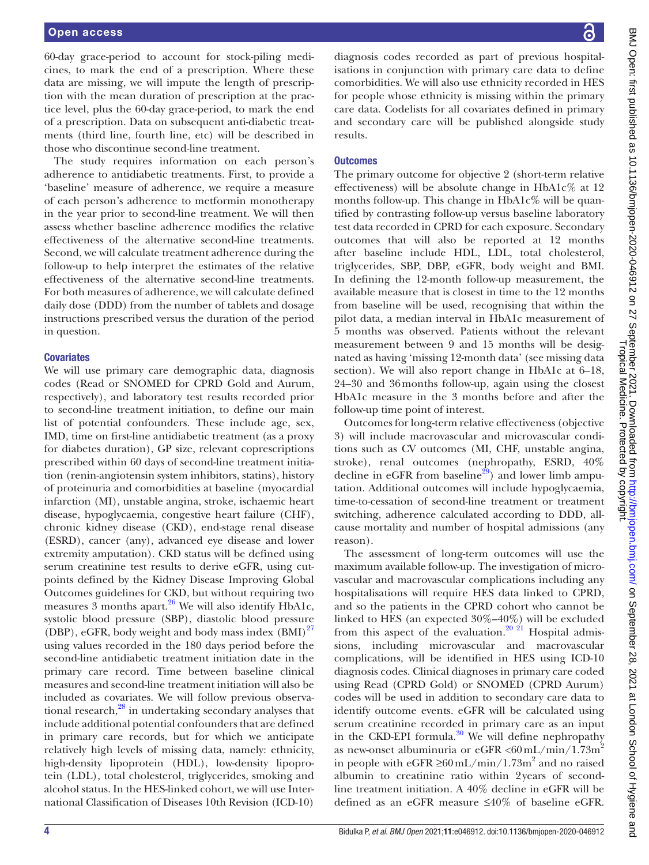#### Open access

60-day grace-period to account for stock-piling medicines, to mark the end of a prescription. Where these data are missing, we will impute the length of prescription with the mean duration of prescription at the practice level, plus the 60-day grace-period, to mark the end of a prescription. Data on subsequent anti-diabetic treatments (third line, fourth line, etc) will be described in those who discontinue second-line treatment.

The study requires information on each person's adherence to antidiabetic treatments. First, to provide a 'baseline' measure of adherence, we require a measure of each person's adherence to metformin monotherapy in the year prior to second-line treatment. We will then assess whether baseline adherence modifies the relative effectiveness of the alternative second-line treatments. Second, we will calculate treatment adherence during the follow-up to help interpret the estimates of the relative effectiveness of the alternative second-line treatments. For both measures of adherence, we will calculate defined daily dose (DDD) from the number of tablets and dosage instructions prescribed versus the duration of the period in question.

#### **Covariates**

We will use primary care demographic data, diagnosis codes (Read or SNOMED for CPRD Gold and Aurum, respectively), and laboratory test results recorded prior to second-line treatment initiation, to define our main list of potential confounders. These include age, sex, IMD, time on first-line antidiabetic treatment (as a proxy for diabetes duration), GP size, relevant coprescriptions prescribed within 60 days of second-line treatment initiation (renin-angiotensin system inhibitors, statins), history of proteinuria and comorbidities at baseline (myocardial infarction (MI), unstable angina, stroke, ischaemic heart disease, hypoglycaemia, congestive heart failure (CHF), chronic kidney disease (CKD), end-stage renal disease (ESRD), cancer (any), advanced eye disease and lower extremity amputation). CKD status will be defined using serum creatinine test results to derive eGFR, using cutpoints defined by the Kidney Disease Improving Global Outcomes guidelines for CKD, but without requiring two measures 3 months apart. $26$  We will also identify HbA1c, systolic blood pressure (SBP), diastolic blood pressure (DBP), eGFR, body weight and body mass index  $(BMI)^{27}$ using values recorded in the 180 days period before the second-line antidiabetic treatment initiation date in the primary care record. Time between baseline clinical measures and second-line treatment initiation will also be included as covariates. We will follow previous observational research, $^{28}$  in undertaking secondary analyses that include additional potential confounders that are defined in primary care records, but for which we anticipate relatively high levels of missing data, namely: ethnicity, high-density lipoprotein (HDL), low-density lipoprotein (LDL), total cholesterol, triglycerides, smoking and alcohol status. In the HES-linked cohort, we will use International Classification of Diseases 10th Revision (ICD-10)

diagnosis codes recorded as part of previous hospitalisations in conjunction with primary care data to define comorbidities. We will also use ethnicity recorded in HES for people whose ethnicity is missing within the primary care data. Codelists for all covariates defined in primary and secondary care will be published alongside study results.

#### **Outcomes**

The primary outcome for objective 2 (short-term relative effectiveness) will be absolute change in HbA1c% at 12 months follow-up. This change in  $HbA1c\%$  will be quantified by contrasting follow-up versus baseline laboratory test data recorded in CPRD for each exposure. Secondary outcomes that will also be reported at 12 months after baseline include HDL, LDL, total cholesterol, triglycerides, SBP, DBP, eGFR, body weight and BMI. In defining the 12-month follow-up measurement, the available measure that is closest in time to the 12 months from baseline will be used, recognising that within the pilot data, a median interval in HbA1c measurement of 5 months was observed. Patients without the relevant measurement between 9 and 15 months will be designated as having 'missing 12-month data' (see missing data section). We will also report change in HbA1c at  $6-18$ , 24–30 and 36months follow-up, again using the closest HbA1c measure in the 3 months before and after the follow-up time point of interest.

Outcomes for long-term relative effectiveness (objective 3) will include macrovascular and microvascular conditions such as CV outcomes (MI, CHF, unstable angina, stroke), renal outcomes (nephropathy, ESRD, 40% decline in eGFR from baseline<sup>[29](#page-8-17)</sup>) and lower limb amputation. Additional outcomes will include hypoglycaemia, time-to-cessation of second-line treatment or treatment switching, adherence calculated according to DDD, allcause mortality and number of hospital admissions (any reason).

The assessment of long-term outcomes will use the maximum available follow-up. The investigation of microvascular and macrovascular complications including any hospitalisations will require HES data linked to CPRD, and so the patients in the CPRD cohort who cannot be linked to HES (an expected 30%–40%) will be excluded from this aspect of the evaluation.<sup>20 21</sup> Hospital admissions, including microvascular and macrovascular complications, will be identified in HES using ICD-10 diagnosis codes. Clinical diagnoses in primary care coded using Read (CPRD Gold) or SNOMED (CPRD Aurum) codes will be used in addition to secondary care data to identify outcome events. eGFR will be calculated using serum creatinine recorded in primary care as an input in the CKD-EPI formula.<sup>30</sup> We will define nephropathy as new-onset albuminuria or eGFR  $\langle 60 \text{ mL/min} / 1.73 \text{m}^2$ in people with eGFR ≥60 mL/min/1.73m<sup>2</sup> and no raised albumin to creatinine ratio within 2years of secondline treatment initiation. A 40% decline in eGFR will be defined as an eGFR measure ≤40% of baseline eGFR.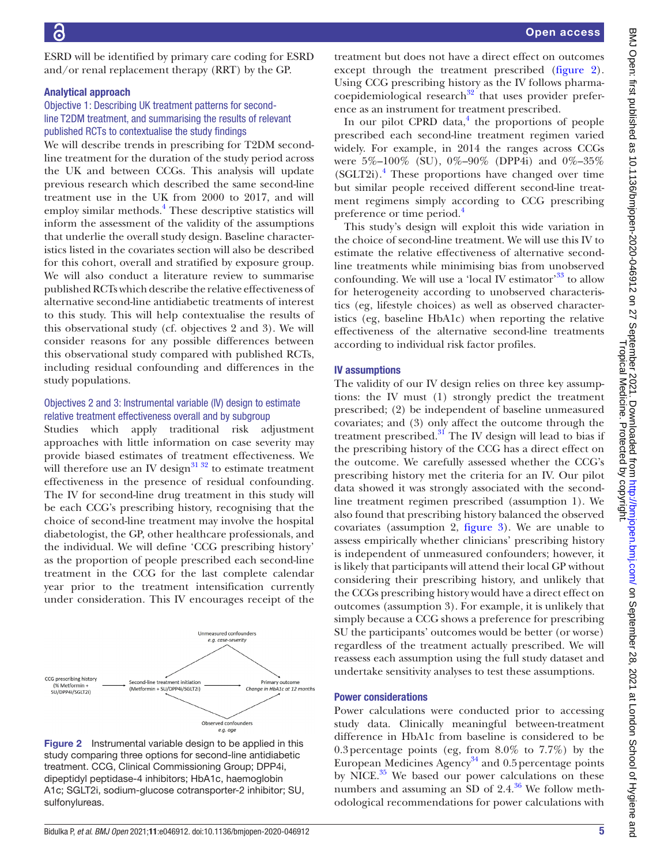ESRD will be identified by primary care coding for ESRD and/or renal replacement therapy (RRT) by the GP.

#### Analytical approach

# Objective 1: Describing UK treatment patterns for secondline T2DM treatment, and summarising the results of relevant published RCTs to contextualise the study findings

We will describe trends in prescribing for T2DM secondline treatment for the duration of the study period across the UK and between CCGs. This analysis will update previous research which described the same second-line treatment use in the UK from 2000 to 2017, and will employ similar methods.<sup>[4](#page-8-1)</sup> These descriptive statistics will inform the assessment of the validity of the assumptions that underlie the overall study design. Baseline characteristics listed in the covariates section will also be described for this cohort, overall and stratified by exposure group. We will also conduct a literature review to summarise published RCTs which describe the relative effectiveness of alternative second-line antidiabetic treatments of interest to this study. This will help contextualise the results of this observational study (cf. objectives 2 and 3). We will consider reasons for any possible differences between this observational study compared with published RCTs, including residual confounding and differences in the study populations.

# Objectives 2 and 3: Instrumental variable (IV) design to estimate relative treatment effectiveness overall and by subgroup

Studies which apply traditional risk adjustment approaches with little information on case severity may provide biased estimates of treatment effectiveness. We will therefore use an IV design $\frac{31\,32}{1}$  to estimate treatment effectiveness in the presence of residual confounding. The IV for second-line drug treatment in this study will be each CCG's prescribing history, recognising that the choice of second-line treatment may involve the hospital diabetologist, the GP, other healthcare professionals, and the individual. We will define 'CCG prescribing history' as the proportion of people prescribed each second-line treatment in the CCG for the last complete calendar year prior to the treatment intensification currently under consideration. This IV encourages receipt of the



<span id="page-4-0"></span>Figure 2 Instrumental variable design to be applied in this study comparing three options for second-line antidiabetic treatment. CCG, Clinical Commissioning Group; DPP4i, dipeptidyl peptidase-4 inhibitors; HbA1c, haemoglobin A1c; SGLT2i, sodium-glucose cotransporter-2 inhibitor; SU, sulfonylureas.

treatment but does not have a direct effect on outcomes except through the treatment prescribed [\(figure](#page-4-0) 2). Using CCG prescribing history as the IV follows pharmacoepidemiological research $32$  that uses provider preference as an instrument for treatment prescribed.

In our pilot CPRD data, $<sup>4</sup>$  $<sup>4</sup>$  $<sup>4</sup>$  the proportions of people</sup> prescribed each second-line treatment regimen varied widely. For example, in 2014 the ranges across CCGs were 5%–100% (SU), 0%–90% (DPP4i) and 0%–35% (SGLT2i).[4](#page-8-1) These proportions have changed over time but similar people received different second-line treatment regimens simply according to CCG prescribing preference or time period.<sup>[4](#page-8-1)</sup>

This study's design will exploit this wide variation in the choice of second-line treatment. We will use this IV to estimate the relative effectiveness of alternative secondline treatments while minimising bias from unobserved confounding. We will use a 'local IV estimator'<sup>33</sup> to allow for heterogeneity according to unobserved characteristics (eg, lifestyle choices) as well as observed characteristics (eg, baseline HbA1c) when reporting the relative effectiveness of the alternative second-line treatments according to individual risk factor profiles.

# IV assumptions

The validity of our IV design relies on three key assumptions: the IV must (1) strongly predict the treatment prescribed; (2) be independent of baseline unmeasured covariates; and (3) only affect the outcome through the treatment prescribed. $31$  The IV design will lead to bias if the prescribing history of the CCG has a direct effect on the outcome. We carefully assessed whether the CCG's prescribing history met the criteria for an IV. Our pilot data showed it was strongly associated with the secondline treatment regimen prescribed (assumption 1). We also found that prescribing history balanced the observed covariates (assumption 2, [figure](#page-5-0) 3). We are unable to assess empirically whether clinicians' prescribing history is independent of unmeasured confounders; however, it is likely that participants will attend their local GP without considering their prescribing history, and unlikely that the CCGs prescribing history would have a direct effect on outcomes (assumption 3). For example, it is unlikely that simply because a CCG shows a preference for prescribing SU the participants' outcomes would be better (or worse) regardless of the treatment actually prescribed. We will reassess each assumption using the full study dataset and undertake sensitivity analyses to test these assumptions.

### Power considerations

Power calculations were conducted prior to accessing study data. Clinically meaningful between-treatment difference in HbA1c from baseline is considered to be 0.3percentage points (eg, from 8.0% to 7.7%) by the European Medicines Agency<sup>[34](#page-8-22)</sup> and 0.5 percentage points by NICE. $35$  We based our power calculations on these numbers and assuming an SD of  $2.4^{36}$  We follow methodological recommendations for power calculations with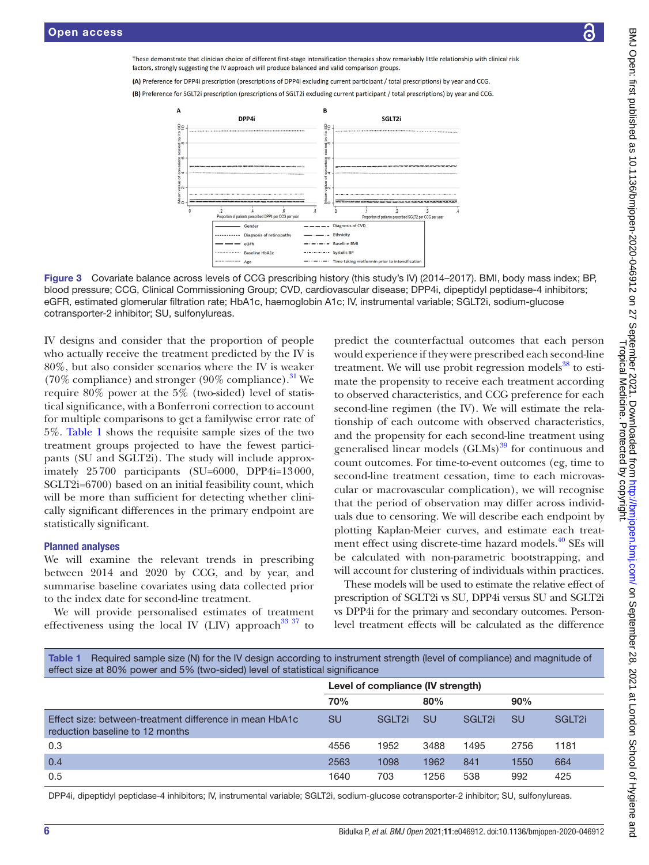These demonstrate that clinician choice of different first-stage intensification therapies show remarkably little relationship with clinical risk factors, strongly suggesting the IV approach will produce balanced and valid comparison groups

(A) Preference for DPP4i prescription (prescriptions of DPP4i excluding current participant / total prescriptions) by year and CCG.

(B) Preference for SGLT2i prescription (prescriptions of SGLT2i excluding current participant / total prescriptions) by year and CCG.





IV designs and consider that the proportion of people who actually receive the treatment predicted by the IV is 80%, but also consider scenarios where the IV is weaker (70% compliance) and stronger (90% compliance).<sup>31</sup> We require 80% power at the 5% (two-sided) level of statistical significance, with a Bonferroni correction to account for multiple comparisons to get a familywise error rate of 5%. [Table](#page-5-1) 1 shows the requisite sample sizes of the two treatment groups projected to have the fewest participants (SU and SGLT2i). The study will include approximately 25700 participants (SU=6000, DPP4i=13000, SGLT2i=6700) based on an initial feasibility count, which will be more than sufficient for detecting whether clinically significant differences in the primary endpoint are statistically significant.

### Planned analyses

We will examine the relevant trends in prescribing between 2014 and 2020 by CCG, and by year, and summarise baseline covariates using data collected prior to the index date for second-line treatment.

We will provide personalised estimates of treatment effectiveness using the local IV (LIV) approach<sup>33 37</sup> to

<span id="page-5-0"></span>predict the counterfactual outcomes that each person would experience if they were prescribed each second-line treatment. We will use probit regression models $38$  to estimate the propensity to receive each treatment according to observed characteristics, and CCG preference for each second-line regimen (the IV). We will estimate the relationship of each outcome with observed characteristics, and the propensity for each second-line treatment using generalised linear models  $(GLMs)$ <sup>39</sup> for continuous and count outcomes. For time-to-event outcomes (eg, time to second-line treatment cessation, time to each microvascular or macrovascular complication), we will recognise that the period of observation may differ across individuals due to censoring. We will describe each endpoint by plotting Kaplan-Meier curves, and estimate each treatment effect using discrete-time hazard models.<sup>40</sup> SEs will be calculated with non-parametric bootstrapping, and will account for clustering of individuals within practices.

These models will be used to estimate the relative effect of prescription of SGLT2i vs SU, DPP4i versus SU and SGLT2i vs DPP4i for the primary and secondary outcomes. Personlevel treatment effects will be calculated as the difference

<span id="page-5-1"></span>

| Table 1 Required sample size (N) for the IV design according to instrument strength (level of compliance) and magnitude of |  |  |  |
|----------------------------------------------------------------------------------------------------------------------------|--|--|--|
| effect size at 80% power and 5% (two-sided) level of statistical significance                                              |  |  |  |

|                                                                                            | Level of compliance (IV strength) |                    |           |                    |           |                    |  |
|--------------------------------------------------------------------------------------------|-----------------------------------|--------------------|-----------|--------------------|-----------|--------------------|--|
|                                                                                            | 70%                               |                    | 80%       |                    | 90%       |                    |  |
| Effect size: between-treatment difference in mean HbA1c<br>reduction baseline to 12 months | <b>SU</b>                         | SGLT <sub>2i</sub> | <b>SU</b> | SGLT <sub>2i</sub> | <b>SU</b> | SGLT <sub>2i</sub> |  |
| 0.3                                                                                        | 4556                              | 1952               | 3488      | 1495               | 2756      | 1181               |  |
| 0.4                                                                                        | 2563                              | 1098               | 1962      | 841                | 1550      | 664                |  |
| 0.5                                                                                        | 1640                              | 703                | 1256      | 538                | 992       | 425                |  |

DPP4i, dipeptidyl peptidase-4 inhibitors; IV, instrumental variable; SGLT2i, sodium-glucose cotransporter-2 inhibitor; SU, sulfonylureas.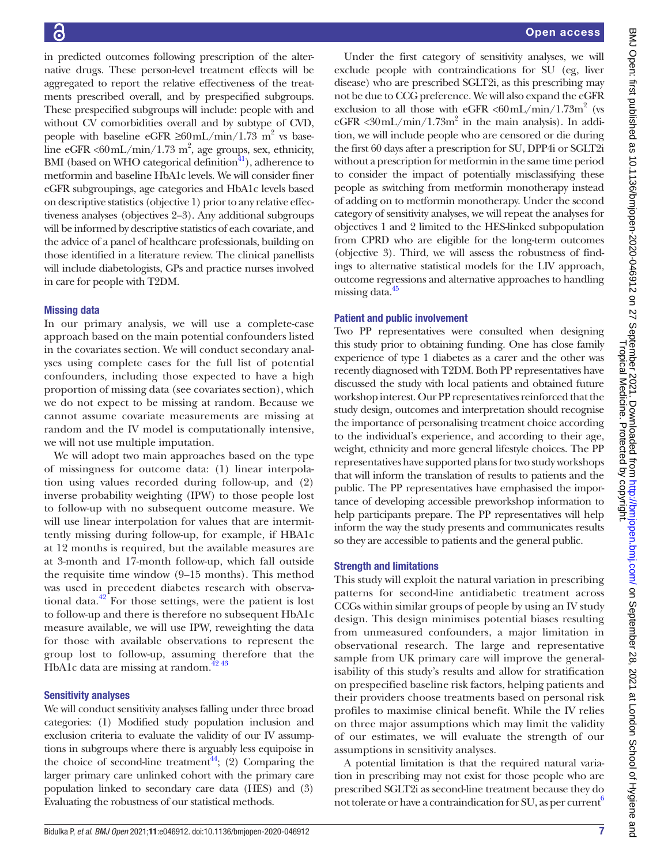in predicted outcomes following prescription of the alternative drugs. These person-level treatment effects will be aggregated to report the relative effectiveness of the treatments prescribed overall, and by prespecified subgroups. These prespecified subgroups will include: people with and without CV comorbidities overall and by subtype of CVD, people with baseline eGFR  $\geq 60$  mL/min/1.73 m<sup>2</sup> vs baseline eGFR < $60$ mL/min/1.73 m<sup>2</sup>, age groups, sex, ethnicity, BMI (based on WHO categorical definition $41$ ), adherence to metformin and baseline HbA1c levels. We will consider finer eGFR subgroupings, age categories and HbA1c levels based on descriptive statistics (objective 1) prior to any relative effectiveness analyses (objectives 2–3). Any additional subgroups will be informed by descriptive statistics of each covariate, and the advice of a panel of healthcare professionals, building on those identified in a literature review. The clinical panellists will include diabetologists, GPs and practice nurses involved in care for people with T2DM.

# Missing data

In our primary analysis, we will use a complete-case approach based on the main potential confounders listed in the covariates section. We will conduct secondary analyses using complete cases for the full list of potential confounders, including those expected to have a high proportion of missing data (see covariates section), which we do not expect to be missing at random. Because we cannot assume covariate measurements are missing at random and the IV model is computationally intensive, we will not use multiple imputation.

We will adopt two main approaches based on the type of missingness for outcome data: (1) linear interpolation using values recorded during follow-up, and (2) inverse probability weighting (IPW) to those people lost to follow-up with no subsequent outcome measure. We will use linear interpolation for values that are intermittently missing during follow-up, for example, if HBA1c at 12 months is required, but the available measures are at 3-month and 17-month follow-up, which fall outside the requisite time window (9–15 months). This method was used in precedent diabetes research with observational data.<sup>42</sup> For those settings, were the patient is lost to follow-up and there is therefore no subsequent HbA1c measure available, we will use IPW, reweighting the data for those with available observations to represent the group lost to follow-up, assuming therefore that the HbA1c data are missing at random. $42\frac{43}{12}$ 

# Sensitivity analyses

We will conduct sensitivity analyses falling under three broad categories: (1) Modified study population inclusion and exclusion criteria to evaluate the validity of our IV assumptions in subgroups where there is arguably less equipoise in the choice of second-line treatment<sup>44</sup>; (2) Comparing the larger primary care unlinked cohort with the primary care population linked to secondary care data (HES) and (3) Evaluating the robustness of our statistical methods.

Under the first category of sensitivity analyses, we will exclude people with contraindications for SU (eg, liver disease) who are prescribed SGLT2i, as this prescribing may not be due to CCG preference. We will also expand the eGFR exclusion to all those with eGFR  $\langle 60 \text{mL/min}/1.73 \text{m}^2 \rangle$  (vs  $eGFR < 30$  mL/min/1.73m<sup>2</sup> in the main analysis). In addition, we will include people who are censored or die during the first 60 days after a prescription for SU, DPP4i or SGLT2i without a prescription for metformin in the same time period to consider the impact of potentially misclassifying these people as switching from metformin monotherapy instead of adding on to metformin monotherapy. Under the second category of sensitivity analyses, we will repeat the analyses for objectives 1 and 2 limited to the HES-linked subpopulation from CPRD who are eligible for the long-term outcomes (objective 3). Third, we will assess the robustness of findings to alternative statistical models for the LIV approach, outcome regressions and alternative approaches to handling missing data.<sup>45</sup>

# Patient and public involvement

Two PP representatives were consulted when designing this study prior to obtaining funding. One has close family experience of type 1 diabetes as a carer and the other was recently diagnosed with T2DM. Both PP representatives have discussed the study with local patients and obtained future workshop interest. Our PP representatives reinforced that the study design, outcomes and interpretation should recognise the importance of personalising treatment choice according to the individual's experience, and according to their age, weight, ethnicity and more general lifestyle choices. The PP representatives have supported plans for two study workshops that will inform the translation of results to patients and the public. The PP representatives have emphasised the importance of developing accessible preworkshop information to help participants prepare. The PP representatives will help inform the way the study presents and communicates results so they are accessible to patients and the general public.

# Strength and limitations

This study will exploit the natural variation in prescribing patterns for second-line antidiabetic treatment across CCGs within similar groups of people by using an IV study design. This design minimises potential biases resulting from unmeasured confounders, a major limitation in observational research. The large and representative sample from UK primary care will improve the generalisability of this study's results and allow for stratification on prespecified baseline risk factors, helping patients and their providers choose treatments based on personal risk profiles to maximise clinical benefit. While the IV relies on three major assumptions which may limit the validity of our estimates, we will evaluate the strength of our assumptions in sensitivity analyses.

A potential limitation is that the required natural variation in prescribing may not exist for those people who are prescribed SGLT2i as second-line treatment because they do not tolerate or have a contraindication for SU, as per current<sup>6</sup>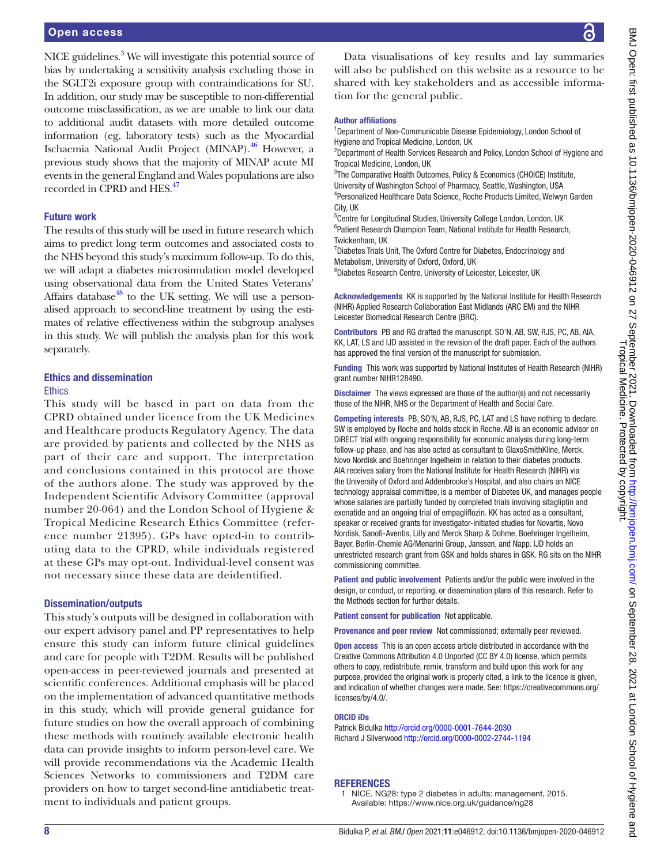NICE guidelines.<sup>[3](#page-8-32)</sup> We will investigate this potential source of bias by undertaking a sensitivity analysis excluding those in the SGLT2i exposure group with contraindications for SU. In addition, our study may be susceptible to non-differential outcome misclassification, as we are unable to link our data to additional audit datasets with more detailed outcome information (eg, laboratory tests) such as the Myocardial Ischaemia National Audit Project (MINAP).[46](#page-8-33) However, a previous study shows that the majority of MINAP acute MI events in the general England and Wales populations are also recorded in CPRD and HES.<sup>47</sup>

#### Future work

The results of this study will be used in future research which aims to predict long term outcomes and associated costs to the NHS beyond this study's maximum follow-up. To do this, we will adapt a diabetes microsimulation model developed using observational data from the United States Veterans' Affairs database<sup>48</sup> to the UK setting. We will use a personalised approach to second-line treatment by using the estimates of relative effectiveness within the subgroup analyses in this study. We will publish the analysis plan for this work separately.

# Ethics and dissemination

#### **Ethics**

This study will be based in part on data from the CPRD obtained under licence from the UK Medicines and Healthcare products Regulatory Agency. The data are provided by patients and collected by the NHS as part of their care and support. The interpretation and conclusions contained in this protocol are those of the authors alone. The study was approved by the Independent Scientific Advisory Committee (approval number 20-064) and the London School of Hygiene & Tropical Medicine Research Ethics Committee (reference number 21395). GPs have opted-in to contributing data to the CPRD, while individuals registered at these GPs may opt-out. Individual-level consent was not necessary since these data are deidentified.

#### Dissemination/outputs

This study's outputs will be designed in collaboration with our expert advisory panel and PP representatives to help ensure this study can inform future clinical guidelines and care for people with T2DM. Results will be published open-access in peer-reviewed journals and presented at scientific conferences. Additional emphasis will be placed on the implementation of advanced quantitative methods in this study, which will provide general guidance for future studies on how the overall approach of combining these methods with routinely available electronic health data can provide insights to inform person-level care. We will provide recommendations via the Academic Health Sciences Networks to commissioners and T2DM care providers on how to target second-line antidiabetic treatment to individuals and patient groups.

Data visualisations of key results and lay summaries will also be published on this website as a resource to be shared with key stakeholders and as accessible information for the general public.

#### Author affiliations

<sup>1</sup>Department of Non-Communicable Disease Epidemiology, London School of Hygiene and Tropical Medicine, London, UK

<sup>2</sup>Department of Health Services Research and Policy, London School of Hygiene and Tropical Medicine, London, UK

<sup>3</sup>The Comparative Health Outcomes, Policy & Economics (CHOICE) Institute, University of Washington School of Pharmacy, Seattle, Washington, USA 4 Personalized Healthcare Data Science, Roche Products Limited, Welwyn Garden City, UK

5 Centre for Longitudinal Studies, University College London, London, UK <sup>6</sup> Patient Research Champion Team, National Institute for Health Research, Twickenham, UK

<sup>7</sup> Diabetes Trials Unit, The Oxford Centre for Diabetes, Endocrinology and Metabolism, University of Oxford, Oxford, UK

8 Diabetes Research Centre, University of Leicester, Leicester, UK

Acknowledgements KK is supported by the National Institute for Health Research (NIHR) Applied Research Collaboration East Midlands (ARC EM) and the NIHR Leicester Biomedical Research Centre (BRC).

Contributors PB and RG drafted the manuscript. SO'N, AB, SW, RJS, PC, AB, AIA, KK, LAT, LS and IJD assisted in the revision of the draft paper. Each of the authors has approved the final version of the manuscript for submission.

Funding This work was supported by National Institutes of Health Research (NIHR) grant number NIHR128490.

Disclaimer The views expressed are those of the author(s) and not necessarily those of the NIHR, NHS or the Department of Health and Social Care.

Competing interests PB, SO'N, AB, RJS, PC, LAT and LS have nothing to declare. SW is employed by Roche and holds stock in Roche. AB is an economic advisor on DiRECT trial with ongoing responsibility for economic analysis during long-term follow-up phase, and has also acted as consultant to GlaxoSmithKline, Merck, Novo Nordisk and Boehringer Ingelheim in relation to their diabetes products. AIA receives salary from the National Institute for Health Research (NIHR) via the University of Oxford and Addenbrooke's Hospital, and also chairs an NICE technology appraisal committee, is a member of Diabetes UK, and manages people whose salaries are partially funded by completed trials involving sitagliptin and exenatide and an ongoing trial of empagliflozin. KK has acted as a consultant, speaker or received grants for investigator-initiated studies for Novartis, Novo Nordisk, Sanofi-Aventis, Lilly and Merck Sharp & Dohme, Boehringer Ingelheim, Bayer, Berlin-Chemie AG/Menarini Group, Janssen, and Napp. IJD holds an unrestricted research grant from GSK and holds shares in GSK. RG sits on the NIHR commissioning committee.

Patient and public involvement Patients and/or the public were involved in the design, or conduct, or reporting, or dissemination plans of this research. Refer to the Methods section for further details.

Patient consent for publication Not applicable.

Provenance and peer review Not commissioned; externally peer reviewed.

Open access This is an open access article distributed in accordance with the Creative Commons Attribution 4.0 Unported (CC BY 4.0) license, which permits others to copy, redistribute, remix, transform and build upon this work for any purpose, provided the original work is properly cited, a link to the licence is given, and indication of whether changes were made. See: [https://creativecommons.org/](https://creativecommons.org/licenses/by/4.0/) [licenses/by/4.0/](https://creativecommons.org/licenses/by/4.0/).

#### ORCID iDs

Patrick Bidulka<http://orcid.org/0000-0001-7644-2030> Richard J Silverwood<http://orcid.org/0000-0002-2744-1194>

#### **REFERENCES**

<span id="page-7-0"></span>1 NICE. NG28: type 2 diabetes in adults: management, 2015. Available:<https://www.nice.org.uk/guidance/ng28>